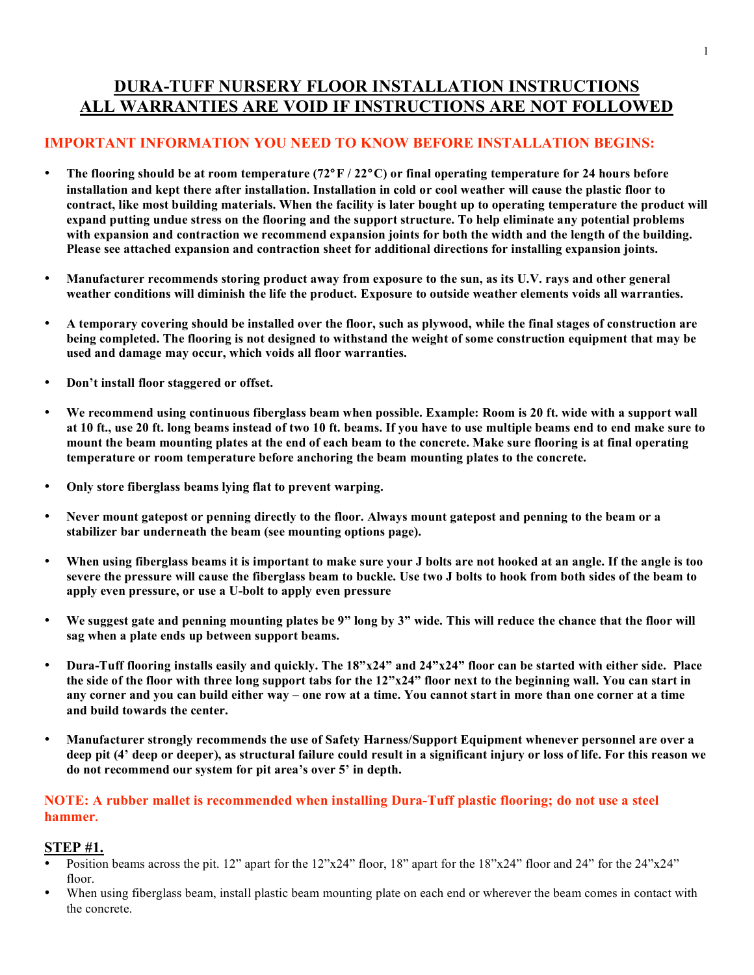## **DURA-TUFF NURSERY FLOOR INSTALLATION INSTRUCTIONS ALL WARRANTIES ARE VOID IF INSTRUCTIONS ARE NOT FOLLOWED**

### **IMPORTANT INFORMATION YOU NEED TO KNOW BEFORE INSTALLATION BEGINS:**

- **The flooring should be at room temperature (72**°**F / 22**°**C) or final operating temperature for 24 hours before installation and kept there after installation. Installation in cold or cool weather will cause the plastic floor to contract, like most building materials. When the facility is later bought up to operating temperature the product will expand putting undue stress on the flooring and the support structure. To help eliminate any potential problems with expansion and contraction we recommend expansion joints for both the width and the length of the building. Please see attached expansion and contraction sheet for additional directions for installing expansion joints.**
- **Manufacturer recommends storing product away from exposure to the sun, as its U.V. rays and other general weather conditions will diminish the life the product. Exposure to outside weather elements voids all warranties.**
- **A temporary covering should be installed over the floor, such as plywood, while the final stages of construction are being completed. The flooring is not designed to withstand the weight of some construction equipment that may be used and damage may occur, which voids all floor warranties.**
- **Don't install floor staggered or offset.**
- **We recommend using continuous fiberglass beam when possible. Example: Room is 20 ft. wide with a support wall at 10 ft., use 20 ft. long beams instead of two 10 ft. beams. If you have to use multiple beams end to end make sure to mount the beam mounting plates at the end of each beam to the concrete. Make sure flooring is at final operating temperature or room temperature before anchoring the beam mounting plates to the concrete.**
- **Only store fiberglass beams lying flat to prevent warping.**
- **Never mount gatepost or penning directly to the floor. Always mount gatepost and penning to the beam or a stabilizer bar underneath the beam (see mounting options page).**
- **When using fiberglass beams it is important to make sure your J bolts are not hooked at an angle. If the angle is too severe the pressure will cause the fiberglass beam to buckle. Use two J bolts to hook from both sides of the beam to apply even pressure, or use a U-bolt to apply even pressure**
- **We suggest gate and penning mounting plates be 9" long by 3" wide. This will reduce the chance that the floor will sag when a plate ends up between support beams.**
- **Dura-Tuff flooring installs easily and quickly. The 18"x24" and 24"x24" floor can be started with either side. Place the side of the floor with three long support tabs for the 12"x24" floor next to the beginning wall. You can start in any corner and you can build either way – one row at a time. You cannot start in more than one corner at a time and build towards the center.**
- **Manufacturer strongly recommends the use of Safety Harness/Support Equipment whenever personnel are over a deep pit (4' deep or deeper), as structural failure could result in a significant injury or loss of life. For this reason we do not recommend our system for pit area's over 5' in depth.**

#### **NOTE: A rubber mallet is recommended when installing Dura-Tuff plastic flooring; do not use a steel hammer.**

### **STEP #1.**

- Position beams across the pit. 12" apart for the 12"x24" floor, 18" apart for the 18"x24" floor and 24" for the 24"x24" floor.
- When using fiberglass beam, install plastic beam mounting plate on each end or wherever the beam comes in contact with the concrete.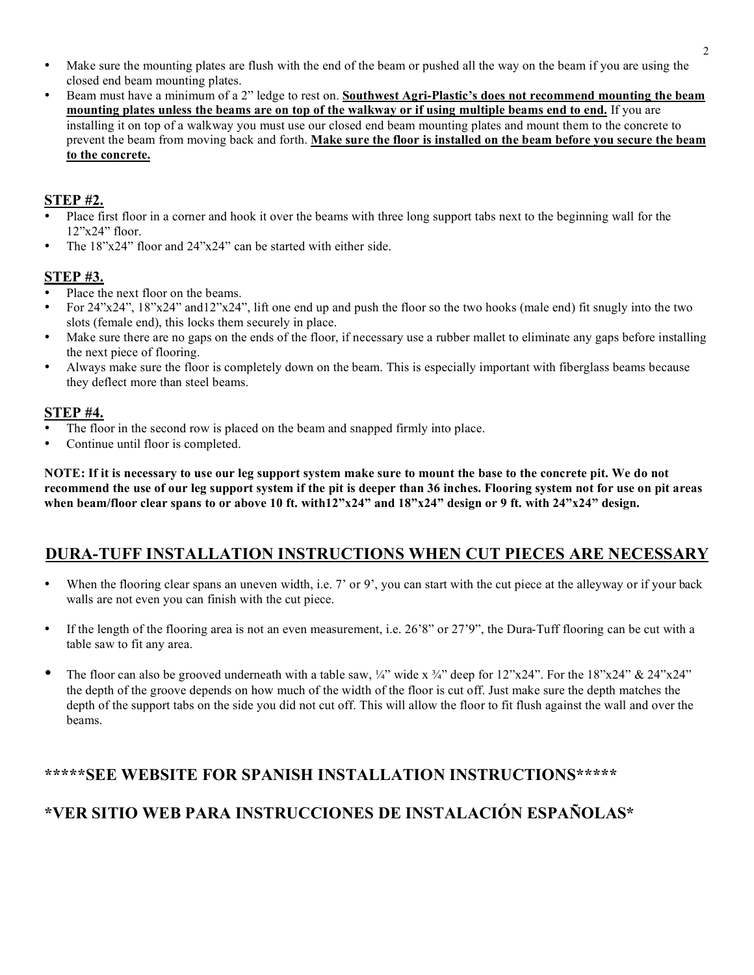- Make sure the mounting plates are flush with the end of the beam or pushed all the way on the beam if you are using the closed end beam mounting plates.
- Beam must have a minimum of a 2" ledge to rest on. **Southwest Agri-Plastic's does not recommend mounting the beam mounting plates unless the beams are on top of the walkway or if using multiple beams end to end.** If you are installing it on top of a walkway you must use our closed end beam mounting plates and mount them to the concrete to prevent the beam from moving back and forth. **Make sure the floor is installed on the beam before you secure the beam to the concrete.**

### **STEP #2.**

- Place first floor in a corner and hook it over the beams with three long support tabs next to the beginning wall for the 12"x24" floor.
- The 18"x24" floor and 24"x24" can be started with either side.

### **STEP #3.**

- Place the next floor on the beams.
- For 24"x24", 18"x24" and12"x24", lift one end up and push the floor so the two hooks (male end) fit snugly into the two slots (female end), this locks them securely in place.
- Make sure there are no gaps on the ends of the floor, if necessary use a rubber mallet to eliminate any gaps before installing the next piece of flooring.
- Always make sure the floor is completely down on the beam. This is especially important with fiberglass beams because they deflect more than steel beams.

### **STEP #4.**

- The floor in the second row is placed on the beam and snapped firmly into place.
- Continue until floor is completed.

**NOTE: If it is necessary to use our leg support system make sure to mount the base to the concrete pit. We do not recommend the use of our leg support system if the pit is deeper than 36 inches. Flooring system not for use on pit areas when beam/floor clear spans to or above 10 ft. with12"x24" and 18"x24" design or 9 ft. with 24"x24" design.**

## **DURA-TUFF INSTALLATION INSTRUCTIONS WHEN CUT PIECES ARE NECESSARY**

- When the flooring clear spans an uneven width, i.e.  $7'$  or  $9'$ , you can start with the cut piece at the alleyway or if your back walls are not even you can finish with the cut piece.
- If the length of the flooring area is not an even measurement, i.e. 26'8" or 27'9", the Dura-Tuff flooring can be cut with a table saw to fit any area.
- The floor can also be grooved underneath with a table saw,  $\frac{1}{4}$ " wide x  $\frac{3}{4}$ " deep for 12"x24". For the 18"x24" & 24"x24" the depth of the groove depends on how much of the width of the floor is cut off. Just make sure the depth matches the depth of the support tabs on the side you did not cut off. This will allow the floor to fit flush against the wall and over the beams.

## **\*\*\*\*\*SEE WEBSITE FOR SPANISH INSTALLATION INSTRUCTIONS\*\*\*\*\***

## **\*VER SITIO WEB PARA INSTRUCCIONES DE INSTALACIÓN ESPAÑOLAS\***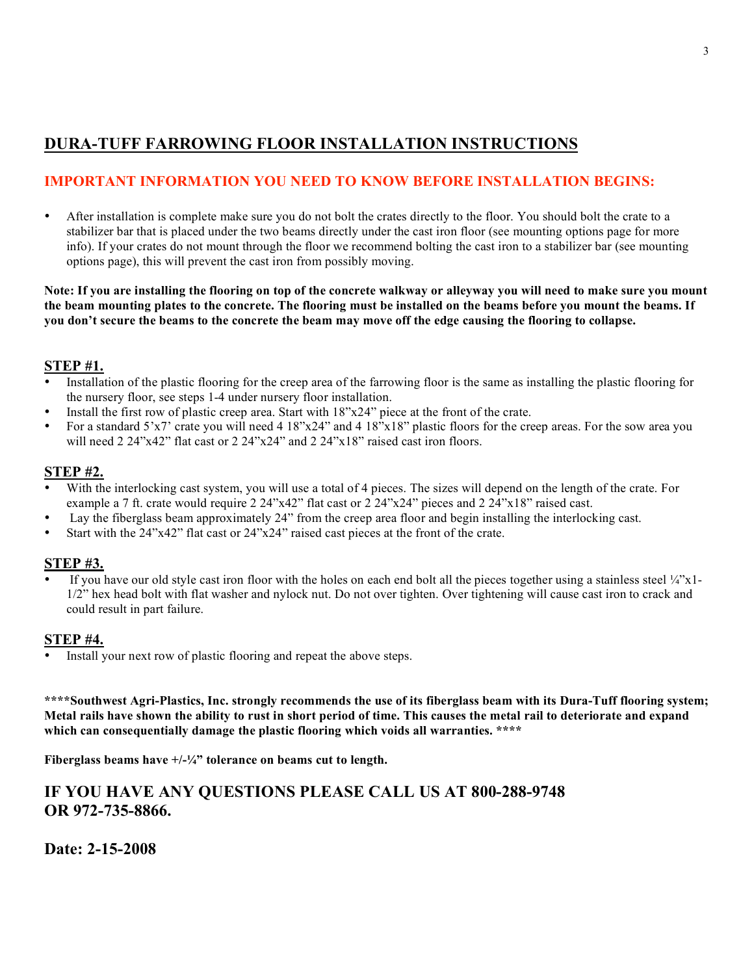## **DURA-TUFF FARROWING FLOOR INSTALLATION INSTRUCTIONS**

### **IMPORTANT INFORMATION YOU NEED TO KNOW BEFORE INSTALLATION BEGINS:**

• After installation is complete make sure you do not bolt the crates directly to the floor. You should bolt the crate to a stabilizer bar that is placed under the two beams directly under the cast iron floor (see mounting options page for more info). If your crates do not mount through the floor we recommend bolting the cast iron to a stabilizer bar (see mounting options page), this will prevent the cast iron from possibly moving.

**Note: If you are installing the flooring on top of the concrete walkway or alleyway you will need to make sure you mount the beam mounting plates to the concrete. The flooring must be installed on the beams before you mount the beams. If you don't secure the beams to the concrete the beam may move off the edge causing the flooring to collapse.** 

#### **STEP #1.**

- Installation of the plastic flooring for the creep area of the farrowing floor is the same as installing the plastic flooring for the nursery floor, see steps 1-4 under nursery floor installation.
- Install the first row of plastic creep area. Start with  $18"x24"$  piece at the front of the crate.
- For a standard 5'x7' crate you will need 4 18"x24" and 4 18"x18" plastic floors for the creep areas. For the sow area you will need 2 24"x42" flat cast or 2 24"x24" and 2 24"x18" raised cast iron floors.

#### **STEP #2.**

- With the interlocking cast system, you will use a total of 4 pieces. The sizes will depend on the length of the crate. For example a 7 ft. crate would require 2 24"x42" flat cast or 2 24"x24" pieces and 2 24"x18" raised cast.
- Lay the fiberglass beam approximately 24" from the creep area floor and begin installing the interlocking cast.
- Start with the 24"x42" flat cast or 24"x24" raised cast pieces at the front of the crate.

### **STEP #3.**

If you have our old style cast iron floor with the holes on each end bolt all the pieces together using a stainless steel  $\frac{1}{4}$ "x1-1/2" hex head bolt with flat washer and nylock nut. Do not over tighten. Over tightening will cause cast iron to crack and could result in part failure.

#### **STEP #4.**

Install your next row of plastic flooring and repeat the above steps.

**\*\*\*\*Southwest Agri-Plastics, Inc. strongly recommends the use of its fiberglass beam with its Dura-Tuff flooring system; Metal rails have shown the ability to rust in short period of time. This causes the metal rail to deteriorate and expand which can consequentially damage the plastic flooring which voids all warranties. \*\*\*\***

**Fiberglass beams have +/-¼" tolerance on beams cut to length.**

## **IF YOU HAVE ANY QUESTIONS PLEASE CALL US AT 800-288-9748 OR 972-735-8866.**

**Date: 2-15-2008**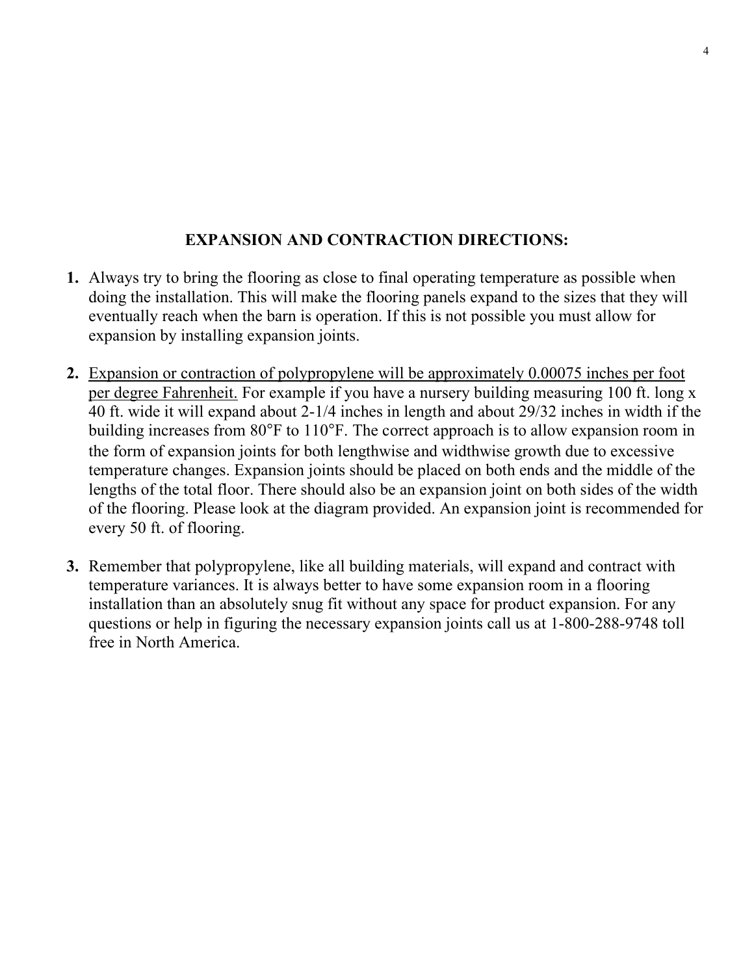## **EXPANSION AND CONTRACTION DIRECTIONS:**

- **1.** Always try to bring the flooring as close to final operating temperature as possible when doing the installation. This will make the flooring panels expand to the sizes that they will eventually reach when the barn is operation. If this is not possible you must allow for expansion by installing expansion joints.
- **2.** Expansion or contraction of polypropylene will be approximately 0.00075 inches per foot per degree Fahrenheit. For example if you have a nursery building measuring 100 ft. long x 40 ft. wide it will expand about 2-1/4 inches in length and about 29/32 inches in width if the building increases from 80°F to 110°F. The correct approach is to allow expansion room in the form of expansion joints for both lengthwise and widthwise growth due to excessive temperature changes. Expansion joints should be placed on both ends and the middle of the lengths of the total floor. There should also be an expansion joint on both sides of the width of the flooring. Please look at the diagram provided. An expansion joint is recommended for every 50 ft. of flooring.
- **3.** Remember that polypropylene, like all building materials, will expand and contract with temperature variances. It is always better to have some expansion room in a flooring installation than an absolutely snug fit without any space for product expansion. For any questions or help in figuring the necessary expansion joints call us at 1-800-288-9748 toll free in North America.